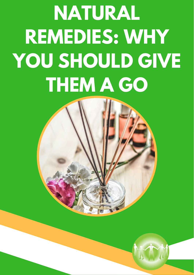## **NATURAL REMEDIES: WHY YOU SHOULD GIVE THEM A GO**



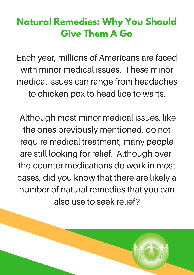## **Natural Remedies: Why You Should Give Them A Go**

Each year, millions of Americans are faced with minor medical issues. These minor medical issues can range from headaches to chicken pox to head lice to warts.

Although most minor medical issues, like the ones previously mentioned, do not require medical treatment, many people are still looking for relief. Although overthe-counter medications do work in most cases, did you know that there are likely a number of natural remedies that you can also use to seek relief?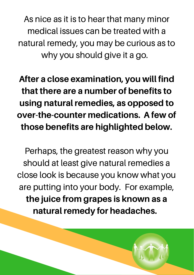As nice as it is to hear that many minor medical issues can be treated with a natural remedy, you may be curious as to why you should give it a go.

After a close examination, you will find that there are a number of benefits to using natural remedies, as opposed to over-the-counter medications. A few of those benefits are highlighted below.

Perhaps, the greatest reason why you should at least give natural remedies a close look is because you know what you are putting into your body. For example, the juice from grapes is known as a natural remedy for headaches.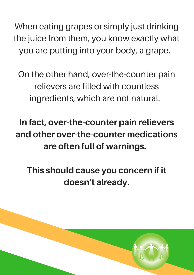When eating grapes or simply just drinking the juice from them, you know exactly what you are putting into your body, a grape.

On the other hand, over-the-counter pain relievers are filled with countless ingredients, which are not natural.

In fact, over-the-counter pain relievers and other over-the-counter medications are often full of warnings.

This should cause you concern if it doesn't already.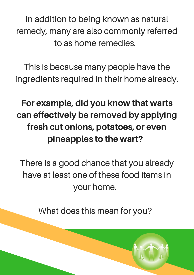In addition to being known as natural remedy, many are also commonly referred to as home remedies.

This is because many people have the ingredients required in their home already.

## For example, did you know that warts can effectively be removed by applying fresh cut onions, potatoes, or even pineapples to the wart?

There is a good chance that you already have at least one of these food items in your home.

What does this mean for you?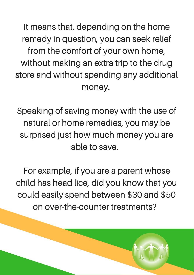It means that, depending on the home remedy in question, you can seek relief from the comfort of your own home, without making an extra trip to the drug store and without spending any additional money.

Speaking of saving money with the use of natural or home remedies, you may be surprised just how much money you are able to save.

For example, if you are a parent whose child has head lice, did you know that you could easily spend between \$30 and \$50 on over-the-counter treatments?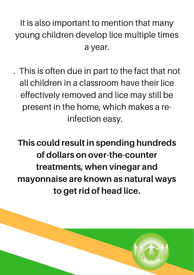It is also important to mention that many young children develop lice multiple times a year.

. This is often due in part to the fact that not all children in a classroom have their lice effectively removed and lice may still be present in the home, which makes a reinfection easy.

This could result in spending hundreds of dollars on over-the-counter treatments, when vinegar and mayonnaise are known as natural ways to get rid of head lice.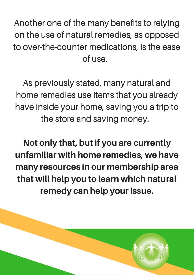Another one of the many benefits to relying on the use of natural remedies, as opposed to over-the-counter medications, is the ease of use.

As previously stated, many natural and home remedies use items that you already have inside your home, saving you a trip to the store and saving money.

Not only that, but if you are currently unfamiliar with home remedies, we have many resources in our membership area that will help you to learn which natural remedy can help your issue.